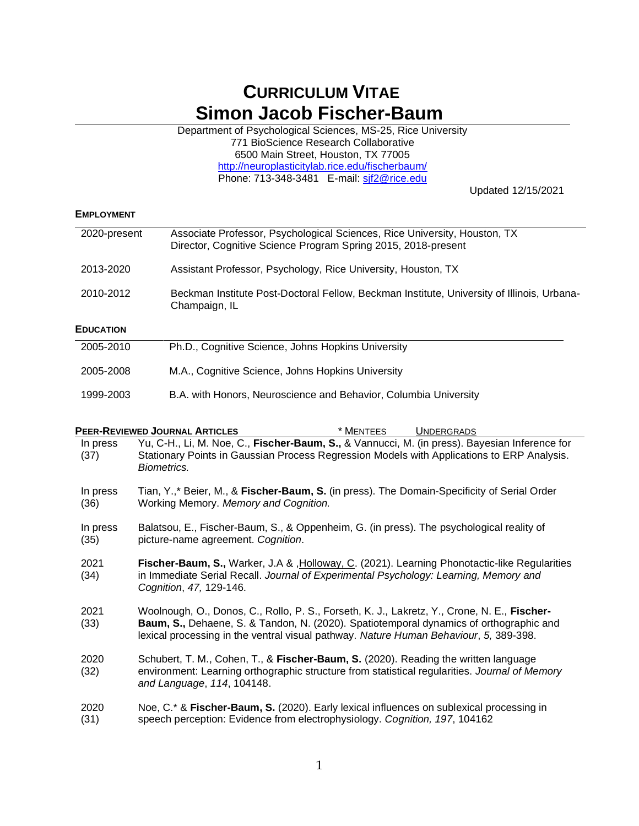# **CURRICULUM VITAE Simon Jacob Fischer-Baum**

Department of Psychological Sciences, MS-25, Rice University 771 BioScience Research Collaborative 6500 Main Street, Houston, TX 77005 <http://neuroplasticitylab.rice.edu/fischerbaum/> Phone: 713-348-3481 E-mail: [sjf2@rice.edu](mailto:sjf2@rice.edu)

Updated 12/15/2021

#### **EMPLOYMENT**

| 2020-present                                                   | Associate Professor, Psychological Sciences, Rice University, Houston, TX<br>Director, Cognitive Science Program Spring 2015, 2018-present |  |  |  |  |
|----------------------------------------------------------------|--------------------------------------------------------------------------------------------------------------------------------------------|--|--|--|--|
| 2013-2020                                                      | Assistant Professor, Psychology, Rice University, Houston, TX                                                                              |  |  |  |  |
| 2010-2012                                                      | Beckman Institute Post-Doctoral Fellow, Beckman Institute, University of Illinois, Urbana-<br>Champaign, IL                                |  |  |  |  |
| <b>EDUCATION</b>                                               |                                                                                                                                            |  |  |  |  |
| 2005-2010                                                      | Ph.D., Cognitive Science, Johns Hopkins University                                                                                         |  |  |  |  |
| M.A., Cognitive Science, Johns Hopkins University<br>2005-2008 |                                                                                                                                            |  |  |  |  |
| 1999-2003                                                      | B.A. with Honors, Neuroscience and Behavior, Columbia University                                                                           |  |  |  |  |

|                  | <b>PEER-REVIEWED JOURNAL ARTICLES</b><br>* MENTEES<br><b>UNDERGRADS</b>                                                                                                                                                                                                        |
|------------------|--------------------------------------------------------------------------------------------------------------------------------------------------------------------------------------------------------------------------------------------------------------------------------|
| In press<br>(37) | Yu, C-H., Li, M. Noe, C., Fischer-Baum, S., & Vannucci, M. (in press). Bayesian Inference for<br>Stationary Points in Gaussian Process Regression Models with Applications to ERP Analysis.<br>Biometrics.                                                                     |
| In press<br>(36) | Tian, Y.,* Beier, M., & Fischer-Baum, S. (in press). The Domain-Specificity of Serial Order<br>Working Memory. Memory and Cognition.                                                                                                                                           |
| In press<br>(35) | Balatsou, E., Fischer-Baum, S., & Oppenheim, G. (in press). The psychological reality of<br>picture-name agreement. Cognition.                                                                                                                                                 |
| 2021<br>(34)     | Fischer-Baum, S., Warker, J.A & , Holloway, C. (2021). Learning Phonotactic-like Regularities<br>in Immediate Serial Recall. Journal of Experimental Psychology: Learning, Memory and<br>Cognition, 47, 129-146.                                                               |
| 2021<br>(33)     | Woolnough, O., Donos, C., Rollo, P. S., Forseth, K. J., Lakretz, Y., Crone, N. E., Fischer-<br>Baum, S., Dehaene, S. & Tandon, N. (2020). Spatiotemporal dynamics of orthographic and<br>lexical processing in the ventral visual pathway. Nature Human Behaviour, 5, 389-398. |
| 2020<br>(32)     | Schubert, T. M., Cohen, T., & Fischer-Baum, S. (2020). Reading the written language<br>environment: Learning orthographic structure from statistical regularities. Journal of Memory<br>and Language, 114, 104148.                                                             |
| 2020<br>(31)     | Noe, C.* & Fischer-Baum, S. (2020). Early lexical influences on sublexical processing in<br>speech perception: Evidence from electrophysiology. Cognition, 197, 104162                                                                                                         |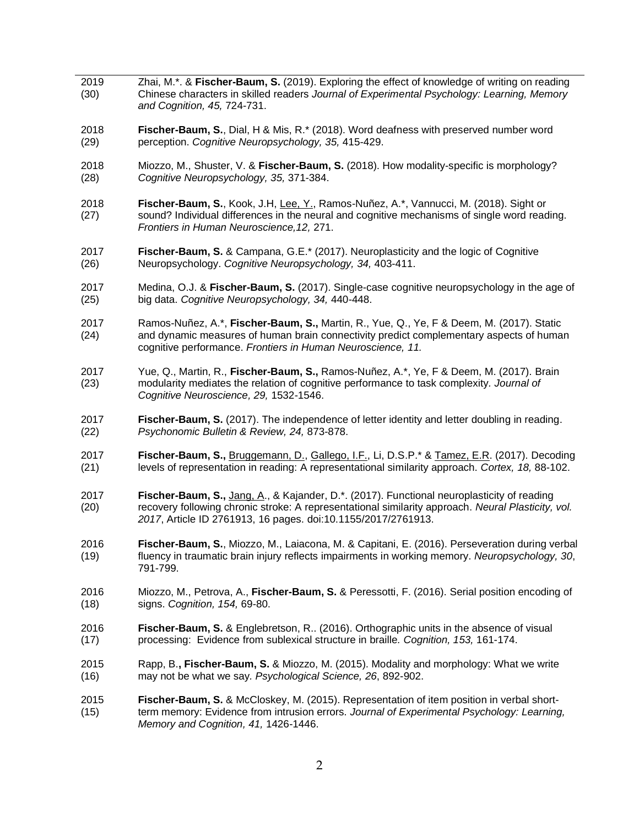| 2019<br>(30) | Zhai, M.*. & Fischer-Baum, S. (2019). Exploring the effect of knowledge of writing on reading<br>Chinese characters in skilled readers Journal of Experimental Psychology: Learning, Memory<br>and Cognition, 45, 724-731.                                        |  |  |  |
|--------------|-------------------------------------------------------------------------------------------------------------------------------------------------------------------------------------------------------------------------------------------------------------------|--|--|--|
| 2018         | Fischer-Baum, S., Dial, H & Mis, R.* (2018). Word deafness with preserved number word                                                                                                                                                                             |  |  |  |
| (29)         | perception. Cognitive Neuropsychology, 35, 415-429.                                                                                                                                                                                                               |  |  |  |
| 2018         | Miozzo, M., Shuster, V. & Fischer-Baum, S. (2018). How modality-specific is morphology?                                                                                                                                                                           |  |  |  |
| (28)         | Cognitive Neuropsychology, 35, 371-384.                                                                                                                                                                                                                           |  |  |  |
| 2018<br>(27) | Fischer-Baum, S., Kook, J.H, Lee, Y., Ramos-Nuñez, A.*, Vannucci, M. (2018). Sight or<br>sound? Individual differences in the neural and cognitive mechanisms of single word reading.<br>Frontiers in Human Neuroscience, 12, 271.                                |  |  |  |
| 2017         | Fischer-Baum, S. & Campana, G.E.* (2017). Neuroplasticity and the logic of Cognitive                                                                                                                                                                              |  |  |  |
| (26)         | Neuropsychology. Cognitive Neuropsychology, 34, 403-411.                                                                                                                                                                                                          |  |  |  |
| 2017         | Medina, O.J. & Fischer-Baum, S. (2017). Single-case cognitive neuropsychology in the age of                                                                                                                                                                       |  |  |  |
| (25)         | big data. Cognitive Neuropsychology, 34, 440-448.                                                                                                                                                                                                                 |  |  |  |
| 2017<br>(24) | Ramos-Nuñez, A.*, Fischer-Baum, S., Martin, R., Yue, Q., Ye, F & Deem, M. (2017). Static<br>and dynamic measures of human brain connectivity predict complementary aspects of human<br>cognitive performance. Frontiers in Human Neuroscience, 11.                |  |  |  |
| 2017<br>(23) | Yue, Q., Martin, R., Fischer-Baum, S., Ramos-Nuñez, A.*, Ye, F & Deem, M. (2017). Brain<br>modularity mediates the relation of cognitive performance to task complexity. Journal of<br>Cognitive Neuroscience, 29, 1532-1546.                                     |  |  |  |
| 2017         | Fischer-Baum, S. (2017). The independence of letter identity and letter doubling in reading.                                                                                                                                                                      |  |  |  |
| (22)         | Psychonomic Bulletin & Review, 24, 873-878.                                                                                                                                                                                                                       |  |  |  |
| 2017         | Fischer-Baum, S., Bruggemann, D., Gallego, I.F., Li, D.S.P.* & Tamez, E.R. (2017). Decoding                                                                                                                                                                       |  |  |  |
| (21)         | levels of representation in reading: A representational similarity approach. Cortex, 18, 88-102.                                                                                                                                                                  |  |  |  |
| 2017<br>(20) | Fischer-Baum, S., Jang, A., & Kajander, D.*. (2017). Functional neuroplasticity of reading<br>recovery following chronic stroke: A representational similarity approach. Neural Plasticity, vol.<br>2017, Article ID 2761913, 16 pages. doi:10.1155/2017/2761913. |  |  |  |
| 2016<br>(19) | Fischer-Baum, S., Miozzo, M., Laiacona, M. & Capitani, E. (2016). Perseveration during verbal<br>fluency in traumatic brain injury reflects impairments in working memory. Neuropsychology, 30,<br>791-799.                                                       |  |  |  |
| 2016         | Miozzo, M., Petrova, A., Fischer-Baum, S. & Peressotti, F. (2016). Serial position encoding of                                                                                                                                                                    |  |  |  |
| (18)         | signs. Cognition, 154, 69-80.                                                                                                                                                                                                                                     |  |  |  |
| 2016         | Fischer-Baum, S. & Englebretson, R. (2016). Orthographic units in the absence of visual                                                                                                                                                                           |  |  |  |
| (17)         | processing: Evidence from sublexical structure in braille. Cognition, 153, 161-174.                                                                                                                                                                               |  |  |  |
| 2015         | Rapp, B., Fischer-Baum, S. & Miozzo, M. (2015). Modality and morphology: What we write                                                                                                                                                                            |  |  |  |
| (16)         | may not be what we say. Psychological Science, 26, 892-902.                                                                                                                                                                                                       |  |  |  |
| 2015<br>(15) | Fischer-Baum, S. & McCloskey, M. (2015). Representation of item position in verbal short-<br>term memory: Evidence from intrusion errors. Journal of Experimental Psychology: Learning,<br>Memory and Cognition, 41, 1426-1446.                                   |  |  |  |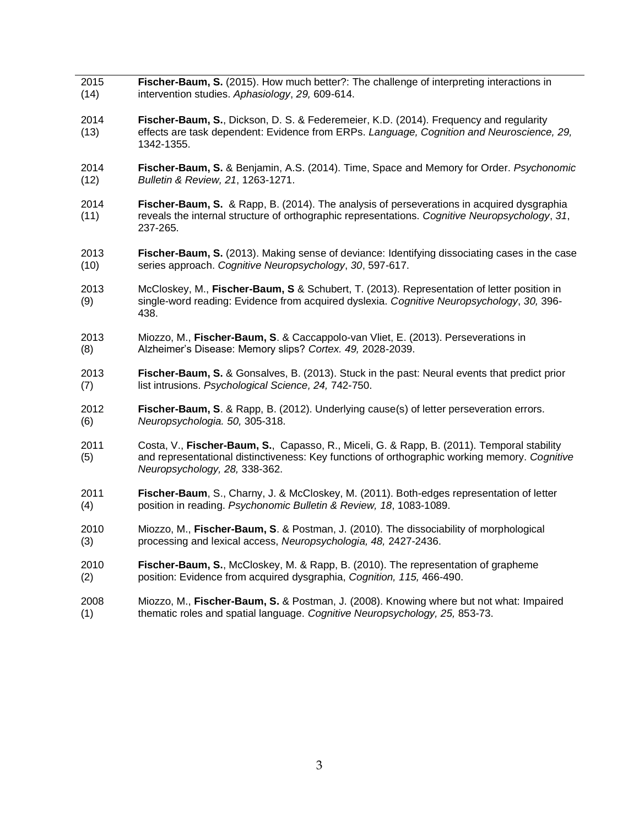| 2015         | Fischer-Baum, S. (2015). How much better?: The challenge of interpreting interactions in                                                                                                                                     |  |  |  |  |
|--------------|------------------------------------------------------------------------------------------------------------------------------------------------------------------------------------------------------------------------------|--|--|--|--|
| (14)         | intervention studies. Aphasiology, 29, 609-614.                                                                                                                                                                              |  |  |  |  |
| 2014<br>(13) | Fischer-Baum, S., Dickson, D. S. & Federemeier, K.D. (2014). Frequency and regularity<br>effects are task dependent: Evidence from ERPs. Language, Cognition and Neuroscience, 29,<br>1342-1355.                             |  |  |  |  |
| 2014         | Fischer-Baum, S. & Benjamin, A.S. (2014). Time, Space and Memory for Order. Psychonomic                                                                                                                                      |  |  |  |  |
| (12)         | Bulletin & Review, 21, 1263-1271.                                                                                                                                                                                            |  |  |  |  |
| 2014<br>(11) | Fischer-Baum, S. & Rapp, B. (2014). The analysis of perseverations in acquired dysgraphia<br>reveals the internal structure of orthographic representations. Cognitive Neuropsychology, 31,<br>237-265.                      |  |  |  |  |
| 2013         | Fischer-Baum, S. (2013). Making sense of deviance: Identifying dissociating cases in the case                                                                                                                                |  |  |  |  |
| (10)         | series approach. Cognitive Neuropsychology, 30, 597-617.                                                                                                                                                                     |  |  |  |  |
| 2013<br>(9)  | McCloskey, M., Fischer-Baum, S & Schubert, T. (2013). Representation of letter position in<br>single-word reading: Evidence from acquired dyslexia. Cognitive Neuropsychology, 30, 396-<br>438.                              |  |  |  |  |
| 2013         | Miozzo, M., Fischer-Baum, S. & Caccappolo-van Vliet, E. (2013). Perseverations in                                                                                                                                            |  |  |  |  |
| (8)          | Alzheimer's Disease: Memory slips? Cortex. 49, 2028-2039.                                                                                                                                                                    |  |  |  |  |
| 2013         | Fischer-Baum, S. & Gonsalves, B. (2013). Stuck in the past: Neural events that predict prior                                                                                                                                 |  |  |  |  |
| (7)          | list intrusions. Psychological Science, 24, 742-750.                                                                                                                                                                         |  |  |  |  |
| 2012         | Fischer-Baum, S. & Rapp, B. (2012). Underlying cause(s) of letter perseveration errors.                                                                                                                                      |  |  |  |  |
| (6)          | Neuropsychologia. 50, 305-318.                                                                                                                                                                                               |  |  |  |  |
| 2011<br>(5)  | Costa, V., Fischer-Baum, S., Capasso, R., Miceli, G. & Rapp, B. (2011). Temporal stability<br>and representational distinctiveness: Key functions of orthographic working memory. Cognitive<br>Neuropsychology, 28, 338-362. |  |  |  |  |
| 2011         | Fischer-Baum, S., Charny, J. & McCloskey, M. (2011). Both-edges representation of letter                                                                                                                                     |  |  |  |  |
| (4)          | position in reading. Psychonomic Bulletin & Review, 18, 1083-1089.                                                                                                                                                           |  |  |  |  |
| 2010         | Miozzo, M., Fischer-Baum, S. & Postman, J. (2010). The dissociability of morphological                                                                                                                                       |  |  |  |  |
| (3)          | processing and lexical access, Neuropsychologia, 48, 2427-2436.                                                                                                                                                              |  |  |  |  |
| 2010         | Fischer-Baum, S., McCloskey, M. & Rapp, B. (2010). The representation of grapheme                                                                                                                                            |  |  |  |  |
| (2)          | position: Evidence from acquired dysgraphia, Cognition, 115, 466-490.                                                                                                                                                        |  |  |  |  |
| 2008         | Miozzo, M., Fischer-Baum, S. & Postman, J. (2008). Knowing where but not what: Impaired                                                                                                                                      |  |  |  |  |
| (1)          | thematic roles and spatial language. Cognitive Neuropsychology, 25, 853-73.                                                                                                                                                  |  |  |  |  |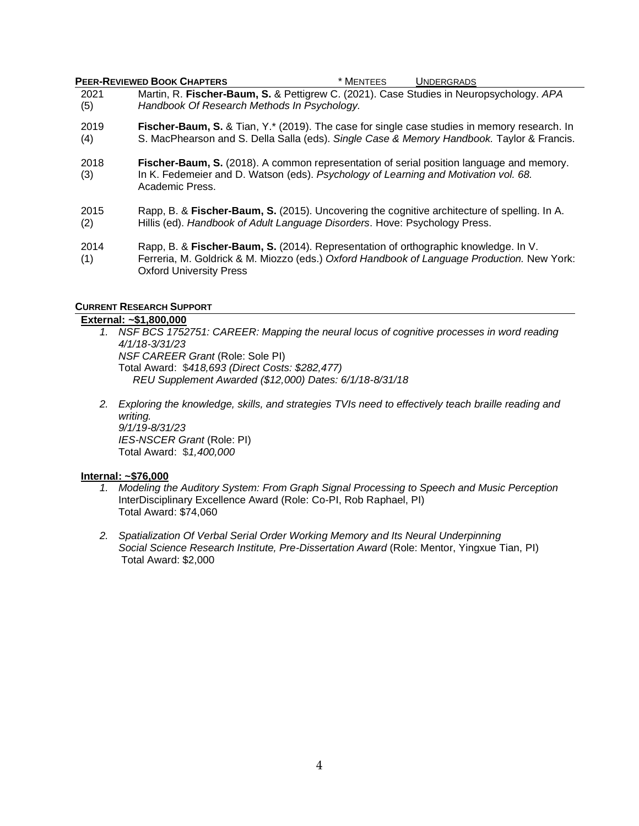## **PEER-REVIEWED BOOK CHAPTERS** \* MENTEES UNDERGRADS

- 2021 (5) Martin, R. **Fischer-Baum, S.** & Pettigrew C. (2021). Case Studies in Neuropsychology. *APA Handbook Of Research Methods In Psychology.*
- 2019 (4) **Fischer-Baum, S.** & Tian, Y.\* (2019). The case for single case studies in memory research. In S. MacPhearson and S. Della Salla (eds). *Single Case & Memory Handbook.* Taylor & Francis.
- 2018 (3) **Fischer-Baum, S.** (2018). A common representation of serial position language and memory. In K. Fedemeier and D. Watson (eds). *Psychology of Learning and Motivation vol. 68.*  Academic Press.
- 2015 (2) Rapp, B. & **Fischer-Baum, S.** (2015). Uncovering the cognitive architecture of spelling. In A. Hillis (ed). *Handbook of Adult Language Disorders*. Hove: Psychology Press.
- 2014 (1) Rapp, B. & **Fischer-Baum, S.** (2014). Representation of orthographic knowledge. In V. Ferreria, M. Goldrick & M. Miozzo (eds.) *Oxford Handbook of Language Production.* New York: Oxford University Press

## **CURRENT RESEARCH SUPPORT**

## **External: ~\$1,800,000**

- *1. NSF BCS 1752751: CAREER: Mapping the neural locus of cognitive processes in word reading 4/1/18-3/31/23 NSF CAREER Grant* (Role: Sole PI) Total Award: \$*418,693 (Direct Costs: \$282,477) REU Supplement Awarded (\$12,000) Dates: 6/1/18-8/31/18*
- *2. Exploring the knowledge, skills, and strategies TVIs need to effectively teach braille reading and writing. 9/1/19-8/31/23 IES-NSCER Grant* (Role: PI) Total Award: \$*1,400,000*

## **Internal: ~\$76,000**

- *1. Modeling the Auditory System: From Graph Signal Processing to Speech and Music Perception* InterDisciplinary Excellence Award (Role: Co-PI, Rob Raphael, PI) Total Award: \$74,060
- *2. Spatialization Of Verbal Serial Order Working Memory and Its Neural Underpinning Social Science Research Institute, Pre-Dissertation Award* (Role: Mentor, Yingxue Tian, PI) Total Award: \$2,000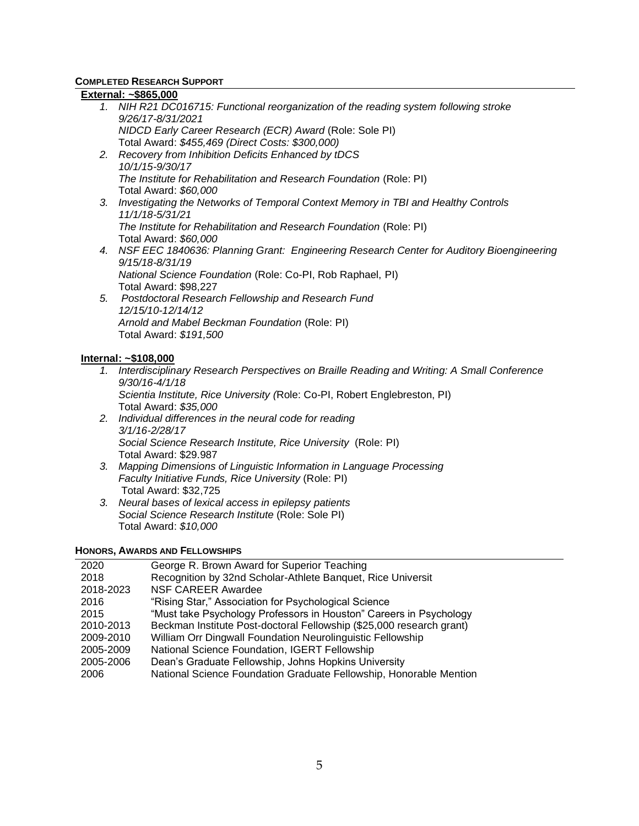# **COMPLETED RESEARCH SUPPORT**

## **External: ~\$865,000**

- *1. NIH R21 DC016715: Functional reorganization of the reading system following stroke 9/26/17-8/31/2021 NIDCD Early Career Research (ECR) Award* (Role: Sole PI) Total Award: *\$455,469 (Direct Costs: \$300,000)*
- *2. Recovery from Inhibition Deficits Enhanced by tDCS 10/1/15-9/30/17 The Institute for Rehabilitation and Research Foundation* (Role: PI) Total Award: *\$60,000*
- *3. Investigating the Networks of Temporal Context Memory in TBI and Healthy Controls 11/1/18-5/31/21 The Institute for Rehabilitation and Research Foundation* (Role: PI) Total Award: *\$60,000*
- *4. NSF EEC 1840636: Planning Grant: Engineering Research Center for Auditory Bioengineering 9/15/18-8/31/19 National Science Foundation* (Role: Co-PI, Rob Raphael, PI) Total Award: \$98,227
- *5. Postdoctoral Research Fellowship and Research Fund 12/15/10-12/14/12 Arnold and Mabel Beckman Foundation* (Role: PI) Total Award: *\$191,500*

## **Internal: ~\$108,000**

- *1. Interdisciplinary Research Perspectives on Braille Reading and Writing: A Small Conference 9/30/16-4/1/18 Scientia Institute, Rice University (*Role: Co-PI, Robert Englebreston, PI) Total Award: *\$35,000*
- *2. Individual differences in the neural code for reading 3/1/16-2/28/17 Social Science Research Institute, Rice University* (Role: PI) Total Award: \$29.987
- *3. Mapping Dimensions of Linguistic Information in Language Processing Faculty Initiative Funds, Rice University* (Role: PI) Total Award: \$32,725
- *3. Neural bases of lexical access in epilepsy patients Social Science Research Institute* (Role: Sole PI) Total Award: *\$10,000*

## **HONORS, AWARDS AND FELLOWSHIPS**

| George R. Brown Award for Superior Teaching                          |
|----------------------------------------------------------------------|
| Recognition by 32nd Scholar-Athlete Banquet, Rice Universit          |
| <b>NSF CAREER Awardee</b>                                            |
| "Rising Star," Association for Psychological Science                 |
| "Must take Psychology Professors in Houston" Careers in Psychology   |
| Beckman Institute Post-doctoral Fellowship (\$25,000 research grant) |
| William Orr Dingwall Foundation Neurolinguistic Fellowship           |
| National Science Foundation, IGERT Fellowship                        |
| Dean's Graduate Fellowship, Johns Hopkins University                 |
| National Science Foundation Graduate Fellowship, Honorable Mention   |
|                                                                      |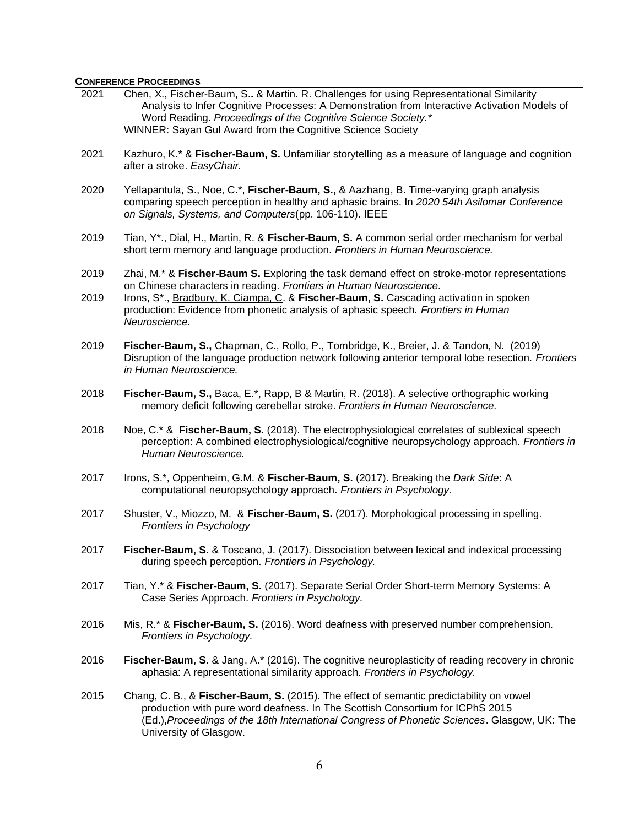# **CONFERENCE PROCEEDINGS**

| 2021 | Chen, X., Fischer-Baum, S., & Martin. R. Challenges for using Representational Similarity<br>Analysis to Infer Cognitive Processes: A Demonstration from Interactive Activation Models of<br>Word Reading. Proceedings of the Cognitive Science Society.*<br>WINNER: Sayan Gul Award from the Cognitive Science Society |  |  |  |
|------|-------------------------------------------------------------------------------------------------------------------------------------------------------------------------------------------------------------------------------------------------------------------------------------------------------------------------|--|--|--|
| 2021 | Kazhuro, K.* & Fischer-Baum, S. Unfamiliar storytelling as a measure of language and cognition<br>after a stroke. EasyChair.                                                                                                                                                                                            |  |  |  |
| 2020 | Yellapantula, S., Noe, C.*, Fischer-Baum, S., & Aazhang, B. Time-varying graph analysis<br>comparing speech perception in healthy and aphasic brains. In 2020 54th Asilomar Conference<br>on Signals, Systems, and Computers(pp. 106-110). IEEE                                                                         |  |  |  |
| 2019 | Tian, Y*., Dial, H., Martin, R. & Fischer-Baum, S. A common serial order mechanism for verbal<br>short term memory and language production. Frontiers in Human Neuroscience.                                                                                                                                            |  |  |  |
| 2019 | Zhai, M.* & Fischer-Baum S. Exploring the task demand effect on stroke-motor representations<br>on Chinese characters in reading. Frontiers in Human Neuroscience.                                                                                                                                                      |  |  |  |
| 2019 | Irons, S <sup>*</sup> ., Bradbury, K. Ciampa, C. & Fischer-Baum, S. Cascading activation in spoken<br>production: Evidence from phonetic analysis of aphasic speech. Frontiers in Human<br>Neuroscience.                                                                                                                |  |  |  |
| 2019 | Fischer-Baum, S., Chapman, C., Rollo, P., Tombridge, K., Breier, J. & Tandon, N. (2019)<br>Disruption of the language production network following anterior temporal lobe resection. Frontiers<br>in Human Neuroscience.                                                                                                |  |  |  |
| 2018 | Fischer-Baum, S., Baca, E.*, Rapp, B & Martin, R. (2018). A selective orthographic working<br>memory deficit following cerebellar stroke. Frontiers in Human Neuroscience.                                                                                                                                              |  |  |  |
| 2018 | Noe, C.* & Fischer-Baum, S. (2018). The electrophysiological correlates of sublexical speech<br>perception: A combined electrophysiological/cognitive neuropsychology approach. Frontiers in<br>Human Neuroscience.                                                                                                     |  |  |  |
| 2017 | Irons, S.*, Oppenheim, G.M. & Fischer-Baum, S. (2017). Breaking the Dark Side: A<br>computational neuropsychology approach. Frontiers in Psychology.                                                                                                                                                                    |  |  |  |
| 2017 | Shuster, V., Miozzo, M. & Fischer-Baum, S. (2017). Morphological processing in spelling.<br><b>Frontiers in Psychology</b>                                                                                                                                                                                              |  |  |  |
| 2017 | Fischer-Baum, S. & Toscano, J. (2017). Dissociation between lexical and indexical processing<br>during speech perception. Frontiers in Psychology.                                                                                                                                                                      |  |  |  |
| 2017 | Tian, Y.* & Fischer-Baum, S. (2017). Separate Serial Order Short-term Memory Systems: A<br>Case Series Approach. Frontiers in Psychology.                                                                                                                                                                               |  |  |  |
| 2016 | Mis, R.* & Fischer-Baum, S. (2016). Word deafness with preserved number comprehension.<br>Frontiers in Psychology.                                                                                                                                                                                                      |  |  |  |
| 2016 | Fischer-Baum, S. & Jang, A.* (2016). The cognitive neuroplasticity of reading recovery in chronic<br>aphasia: A representational similarity approach. Frontiers in Psychology.                                                                                                                                          |  |  |  |
| 2015 | Chang, C. B., & Fischer-Baum, S. (2015). The effect of semantic predictability on vowel<br>production with pure word deafness. In The Scottish Consortium for ICPhS 2015<br>(Ed.), Proceedings of the 18th International Congress of Phonetic Sciences. Glasgow, UK: The<br>University of Glasgow.                      |  |  |  |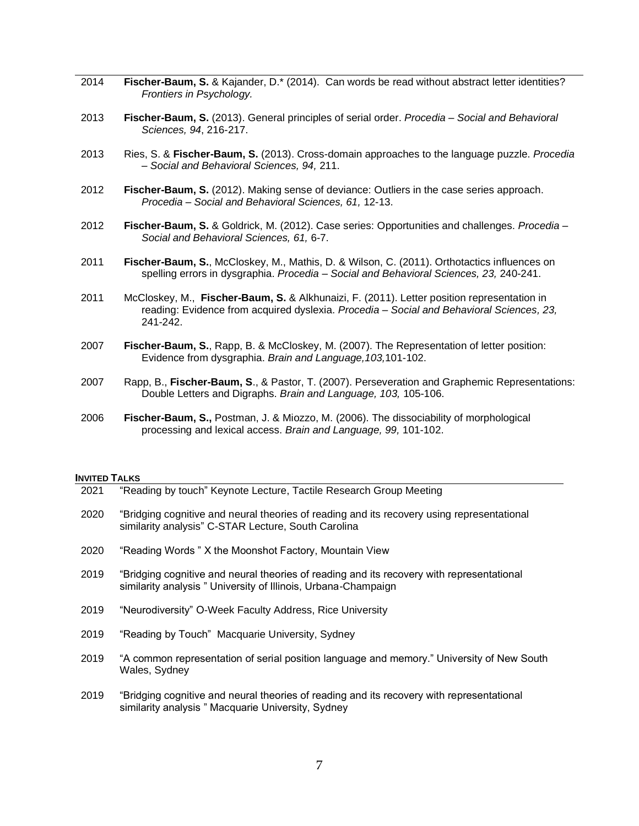- 2014 **Fischer-Baum, S.** & Kajander, D.\* (2014). Can words be read without abstract letter identities? *Frontiers in Psychology.*
- 2013 **Fischer-Baum, S.** (2013). General principles of serial order. *Procedia – Social and Behavioral Sciences, 94*, 216-217.
- 2013 Ries, S. & **Fischer-Baum, S.** (2013). Cross-domain approaches to the language puzzle. *Procedia – Social and Behavioral Sciences, 94,* 211.
- 2012 **Fischer-Baum, S.** (2012). Making sense of deviance: Outliers in the case series approach. *Procedia – Social and Behavioral Sciences, 61,* 12-13.
- 2012 **Fischer-Baum, S.** & Goldrick, M. (2012). Case series: Opportunities and challenges. *Procedia – Social and Behavioral Sciences, 61,* 6-7.
- 2011 **Fischer-Baum, S.**, McCloskey, M., Mathis, D. & Wilson, C. (2011). Orthotactics influences on spelling errors in dysgraphia. *Procedia – Social and Behavioral Sciences, 23,* 240-241.
- 2011 McCloskey, M., **Fischer-Baum, S.** & Alkhunaizi, F. (2011). Letter position representation in reading: Evidence from acquired dyslexia. *Procedia – Social and Behavioral Sciences, 23,*  241-242.
- 2007 **Fischer-Baum, S.**, Rapp, B. & McCloskey, M. (2007). The Representation of letter position: Evidence from dysgraphia. *Brain and Language,103,*101-102.
- 2007 Rapp, B., **Fischer-Baum, S**., & Pastor, T. (2007). Perseveration and Graphemic Representations: Double Letters and Digraphs. *Brain and Language, 103,* 105-106.
- 2006 **Fischer-Baum, S.,** Postman, J. & Miozzo, M. (2006). The dissociability of morphological processing and lexical access. *Brain and Language, 99,* 101-102.

#### **INVITED TALKS**

| 2021 | "Reading by touch" Keynote Lecture, Tactile Research Group Meeting                                                                                          |
|------|-------------------------------------------------------------------------------------------------------------------------------------------------------------|
| 2020 | "Bridging cognitive and neural theories of reading and its recovery using representational<br>similarity analysis" C-STAR Lecture, South Carolina           |
| 2020 | "Reading Words " X the Moonshot Factory, Mountain View                                                                                                      |
| 2019 | "Bridging cognitive and neural theories of reading and its recovery with representational<br>similarity analysis " University of Illinois, Urbana-Champaign |
| 2019 | "Neurodiversity" O-Week Faculty Address, Rice University                                                                                                    |
| 2019 | "Reading by Touch" Macquarie University, Sydney                                                                                                             |
| 2019 | "A common representation of serial position language and memory." University of New South<br>Wales, Sydney                                                  |
| 2019 | "Bridging cognitive and neural theories of reading and its recovery with representational<br>similarity analysis " Macquarie University, Sydney             |
|      |                                                                                                                                                             |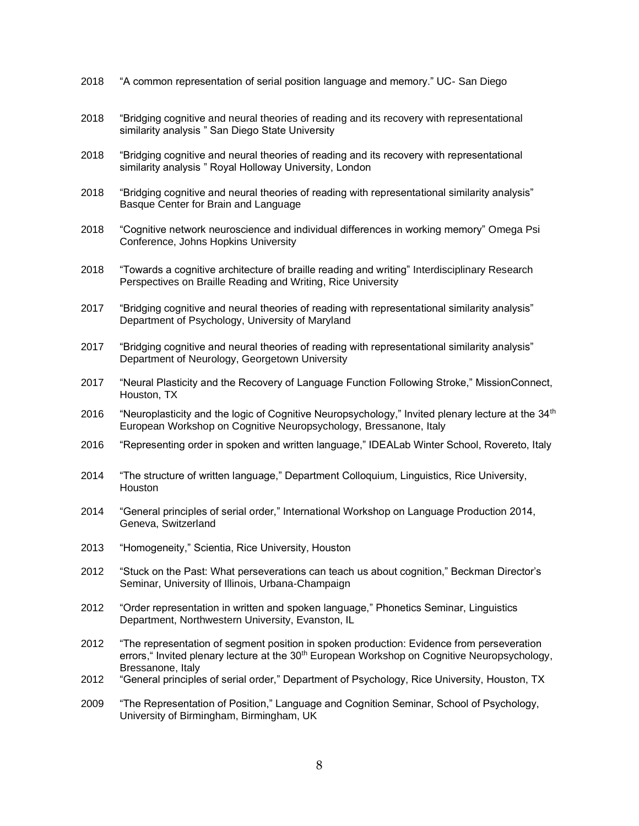- 2018 "A common representation of serial position language and memory." UC- San Diego
- 2018 "Bridging cognitive and neural theories of reading and its recovery with representational similarity analysis " San Diego State University
- 2018 "Bridging cognitive and neural theories of reading and its recovery with representational similarity analysis " Royal Holloway University, London
- 2018 "Bridging cognitive and neural theories of reading with representational similarity analysis" Basque Center for Brain and Language
- 2018 "Cognitive network neuroscience and individual differences in working memory" Omega Psi Conference, Johns Hopkins University
- 2018 "Towards a cognitive architecture of braille reading and writing" Interdisciplinary Research Perspectives on Braille Reading and Writing, Rice University
- 2017 "Bridging cognitive and neural theories of reading with representational similarity analysis" Department of Psychology, University of Maryland
- 2017 "Bridging cognitive and neural theories of reading with representational similarity analysis" Department of Neurology, Georgetown University
- 2017 "Neural Plasticity and the Recovery of Language Function Following Stroke," MissionConnect, Houston, TX
- 2016 "Neuroplasticity and the logic of Cognitive Neuropsychology," Invited plenary lecture at the  $34<sup>th</sup>$ European Workshop on Cognitive Neuropsychology, Bressanone, Italy
- 2016 "Representing order in spoken and written language," IDEALab Winter School, Rovereto, Italy
- 2014 "The structure of written language," Department Colloquium, Linguistics, Rice University, Houston
- 2014 "General principles of serial order," International Workshop on Language Production 2014, Geneva, Switzerland
- 2013 "Homogeneity," Scientia, Rice University, Houston
- 2012 "Stuck on the Past: What perseverations can teach us about cognition," Beckman Director's Seminar, University of Illinois, Urbana-Champaign
- 2012 "Order representation in written and spoken language," Phonetics Seminar, Linguistics Department, Northwestern University, Evanston, IL
- 2012 "The representation of segment position in spoken production: Evidence from perseveration errors, "Invited plenary lecture at the 30<sup>th</sup> European Workshop on Cognitive Neuropsychology, Bressanone, Italy
- 2012 "General principles of serial order," Department of Psychology, Rice University, Houston, TX
- 2009 "The Representation of Position," Language and Cognition Seminar, School of Psychology, University of Birmingham, Birmingham, UK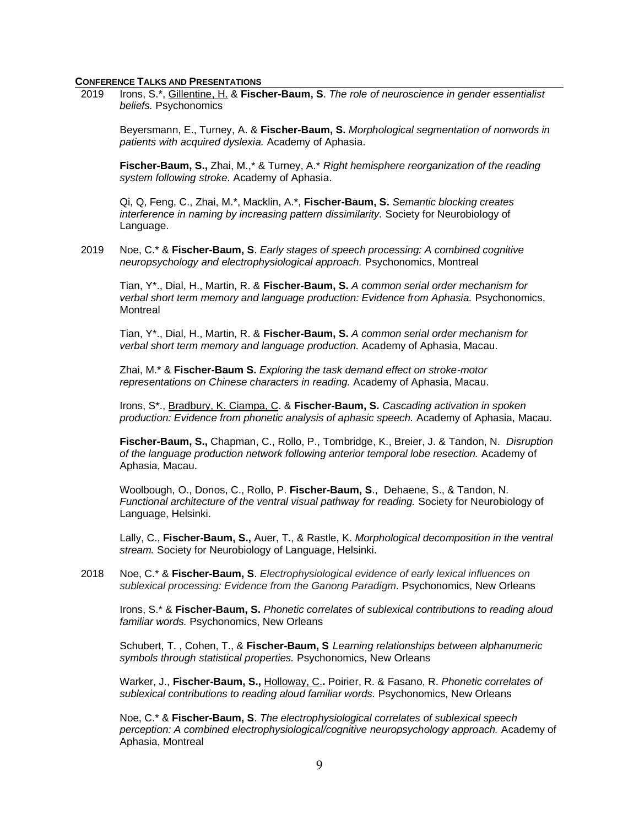#### **CONFERENCE TALKS AND PRESENTATIONS**

2019 Irons, S.\*, Gillentine, H. & **Fischer-Baum, S**. *The role of neuroscience in gender essentialist beliefs.* Psychonomics

Beyersmann, E., Turney, A. & **Fischer-Baum, S.** *Morphological segmentation of nonwords in patients with acquired dyslexia.* Academy of Aphasia.

**Fischer-Baum, S.,** Zhai, M.,\* & Turney, A.\* *Right hemisphere reorganization of the reading system following stroke.* Academy of Aphasia.

Qi, Q, Feng, C., Zhai, M.\*, Macklin, A.\*, **Fischer-Baum, S.** *Semantic blocking creates interference in naming by increasing pattern dissimilarity.* Society for Neurobiology of Language.

2019 Noe, C.\* & **Fischer-Baum, S**. *Early stages of speech processing: A combined cognitive neuropsychology and electrophysiological approach.* Psychonomics, Montreal

Tian, Y\*., Dial, H., Martin, R. & **Fischer-Baum, S.** *A common serial order mechanism for verbal short term memory and language production: Evidence from Aphasia. Psychonomics,* **Montreal** 

Tian, Y\*., Dial, H., Martin, R. & **Fischer-Baum, S.** *A common serial order mechanism for verbal short term memory and language production.* Academy of Aphasia, Macau.

Zhai, M.\* & **Fischer-Baum S.** *Exploring the task demand effect on stroke-motor representations on Chinese characters in reading.* Academy of Aphasia, Macau.

Irons, S\*., Bradbury, K. Ciampa, C. & **Fischer-Baum, S.** *Cascading activation in spoken production: Evidence from phonetic analysis of aphasic speech.* Academy of Aphasia, Macau.

**Fischer-Baum, S.,** Chapman, C., Rollo, P., Tombridge, K., Breier, J. & Tandon, N. *Disruption of the language production network following anterior temporal lobe resection.* Academy of Aphasia, Macau.

Woolbough, O., Donos, C., Rollo, P. **Fischer-Baum, S**., Dehaene, S., & Tandon, N. *Functional architecture of the ventral visual pathway for reading.* Society for Neurobiology of Language, Helsinki.

Lally, C., **Fischer-Baum, S.,** Auer, T., & Rastle, K. *Morphological decomposition in the ventral stream.* Society for Neurobiology of Language, Helsinki.

2018 Noe, C.\* & **Fischer-Baum, S**. *Electrophysiological evidence of early lexical influences on sublexical processing: Evidence from the Ganong Paradigm.* Psychonomics, New Orleans

Irons, S.\* & **Fischer-Baum, S.** *Phonetic correlates of sublexical contributions to reading aloud familiar words.* Psychonomics, New Orleans

Schubert, T. , Cohen, T., & **Fischer-Baum, S** *Learning relationships between alphanumeric symbols through statistical properties.* Psychonomics, New Orleans

Warker, J., **Fischer-Baum, S.,** Holloway, C.**.** Poirier, R. & Fasano, R. *Phonetic correlates of sublexical contributions to reading aloud familiar words.* Psychonomics, New Orleans

Noe, C.\* & **Fischer-Baum, S**. *The electrophysiological correlates of sublexical speech perception: A combined electrophysiological/cognitive neuropsychology approach.* Academy of Aphasia, Montreal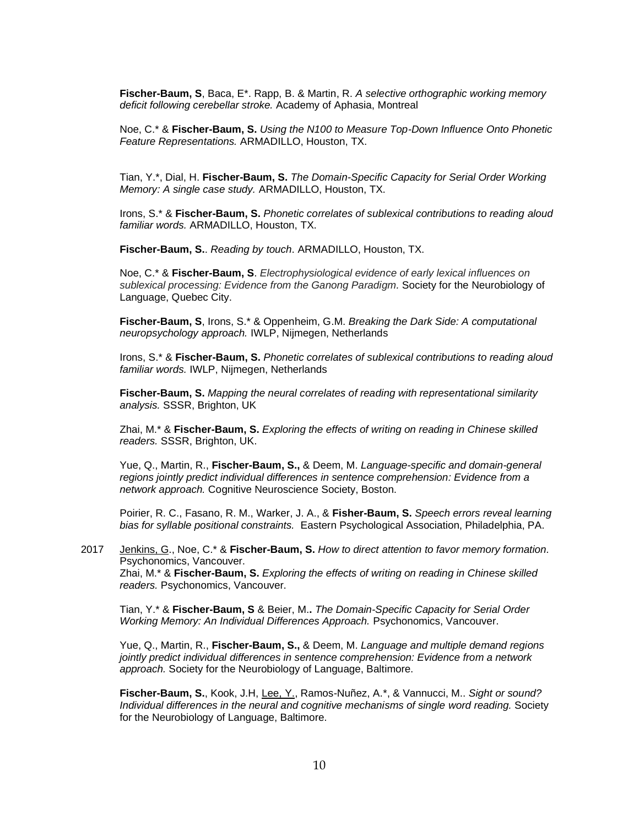**Fischer-Baum, S**, Baca, E\*. Rapp, B. & Martin, R. *A selective orthographic working memory deficit following cerebellar stroke.* Academy of Aphasia, Montreal

Noe, C.\* & **Fischer-Baum, S.** *Using the N100 to Measure Top-Down Influence Onto Phonetic Feature Representations.* ARMADILLO, Houston, TX.

Tian, Y.\*, Dial, H. **Fischer-Baum, S.** *The Domain-Specific Capacity for Serial Order Working Memory: A single case study.* ARMADILLO, Houston, TX.

Irons, S.\* & **Fischer-Baum, S.** *Phonetic correlates of sublexical contributions to reading aloud familiar words.* ARMADILLO, Houston, TX.

**Fischer-Baum, S.**. *Reading by touch*. ARMADILLO, Houston, TX.

Noe, C.\* & **Fischer-Baum, S**. *Electrophysiological evidence of early lexical influences on sublexical processing: Evidence from the Ganong Paradigm.* Society for the Neurobiology of Language, Quebec City.

**Fischer-Baum, S**, Irons, S.\* & Oppenheim, G.M. *Breaking the Dark Side: A computational neuropsychology approach.* IWLP, Nijmegen, Netherlands

Irons, S.\* & **Fischer-Baum, S.** *Phonetic correlates of sublexical contributions to reading aloud familiar words.* IWLP, Nijmegen, Netherlands

**Fischer-Baum, S.** *Mapping the neural correlates of reading with representational similarity analysis.* SSSR, Brighton, UK

Zhai, M.\* & **Fischer-Baum, S.** *Exploring the effects of writing on reading in Chinese skilled readers.* SSSR, Brighton, UK.

Yue, Q., Martin, R., **Fischer-Baum, S.,** & Deem, M. *Language-specific and domain-general regions jointly predict individual differences in sentence comprehension: Evidence from a network approach.* Cognitive Neuroscience Society, Boston.

Poirier, R. C., Fasano, R. M., Warker, J. A., & **Fisher-Baum, S.** *Speech errors reveal learning bias for syllable positional constraints.* Eastern Psychological Association, Philadelphia, PA.

2017 Jenkins, G., Noe, C.\* & **Fischer-Baum, S.** *How to direct attention to favor memory formation.*  Psychonomics, Vancouver. Zhai, M.\* & **Fischer-Baum, S.** *Exploring the effects of writing on reading in Chinese skilled readers.* Psychonomics, Vancouver.

Tian, Y.\* & **Fischer-Baum, S** & Beier, M.**.** *The Domain-Specific Capacity for Serial Order Working Memory: An Individual Differences Approach.* Psychonomics, Vancouver.

Yue, Q., Martin, R., **Fischer-Baum, S.,** & Deem, M. *Language and multiple demand regions jointly predict individual differences in sentence comprehension: Evidence from a network approach.* Society for the Neurobiology of Language, Baltimore.

**Fischer-Baum, S.**, Kook, J.H, Lee, Y., Ramos-Nuñez, A.\*, & Vannucci, M.. *Sight or sound? Individual differences in the neural and cognitive mechanisms of single word reading.* Society for the Neurobiology of Language, Baltimore.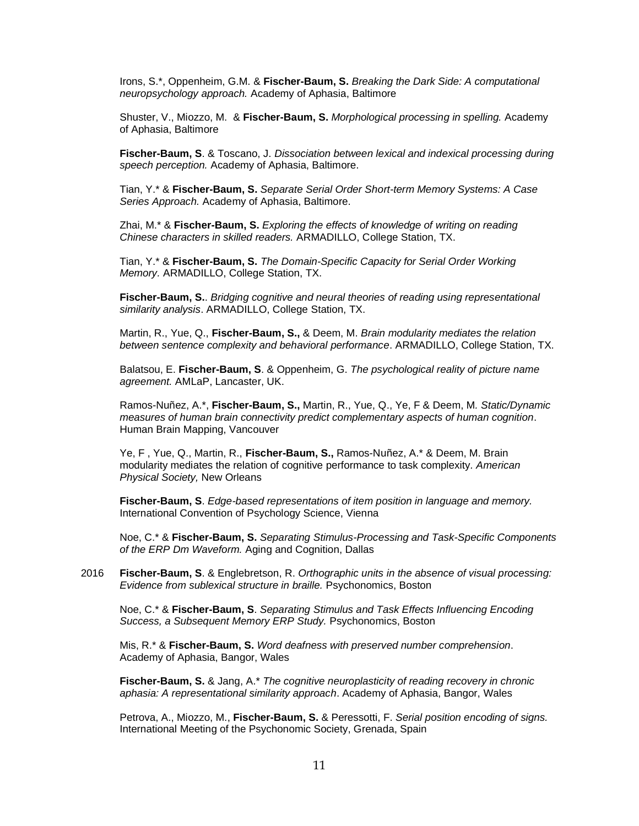Irons, S.\*, Oppenheim, G.M. & **Fischer-Baum, S.** *Breaking the Dark Side: A computational neuropsychology approach.* Academy of Aphasia, Baltimore

Shuster, V., Miozzo, M. & **Fischer-Baum, S.** *Morphological processing in spelling.* Academy of Aphasia, Baltimore

**Fischer-Baum, S**. & Toscano, J. *Dissociation between lexical and indexical processing during speech perception.* Academy of Aphasia, Baltimore.

Tian, Y.\* & **Fischer-Baum, S.** *Separate Serial Order Short-term Memory Systems: A Case Series Approach.* Academy of Aphasia, Baltimore.

Zhai, M.\* & **Fischer-Baum, S.** *Exploring the effects of knowledge of writing on reading Chinese characters in skilled readers.* ARMADILLO, College Station, TX.

Tian, Y.\* & **Fischer-Baum, S.** *The Domain-Specific Capacity for Serial Order Working Memory.* ARMADILLO, College Station, TX.

**Fischer-Baum, S.**. *Bridging cognitive and neural theories of reading using representational similarity analysis*. ARMADILLO, College Station, TX.

Martin, R., Yue, Q., **Fischer-Baum, S.,** & Deem, M. *Brain modularity mediates the relation between sentence complexity and behavioral performance*. ARMADILLO, College Station, TX.

Balatsou, E. **Fischer-Baum, S**. & Oppenheim, G. *The psychological reality of picture name agreement.* AMLaP, Lancaster, UK.

Ramos-Nuñez, A.\*, **Fischer-Baum, S.,** Martin, R., Yue, Q., Ye, F & Deem, M*. Static/Dynamic measures of human brain connectivity predict complementary aspects of human cognition*. Human Brain Mapping, Vancouver

Ye, F , Yue, Q., Martin, R., **Fischer-Baum, S.,** Ramos-Nuñez, A.\* & Deem, M. Brain modularity mediates the relation of cognitive performance to task complexity*. American Physical Society,* New Orleans

**Fischer-Baum, S**. *Edge-based representations of item position in language and memory.* International Convention of Psychology Science, Vienna

Noe, C.\* & **Fischer-Baum, S.** *Separating Stimulus-Processing and Task-Specific Components of the ERP Dm Waveform.* Aging and Cognition, Dallas

2016 **Fischer-Baum, S**. & Englebretson, R. *Orthographic units in the absence of visual processing: Evidence from sublexical structure in braille.* Psychonomics, Boston

Noe, C.\* & **Fischer-Baum, S**. *Separating Stimulus and Task Effects Influencing Encoding Success, a Subsequent Memory ERP Study.* Psychonomics, Boston

Mis, R.\* & **Fischer-Baum, S.** *Word deafness with preserved number comprehension*. Academy of Aphasia, Bangor, Wales

**Fischer-Baum, S.** & Jang, A.\* *The cognitive neuroplasticity of reading recovery in chronic aphasia: A representational similarity approach*. Academy of Aphasia, Bangor, Wales

Petrova, A., Miozzo, M., **Fischer-Baum, S.** & Peressotti, F. *Serial position encoding of signs.* International Meeting of the Psychonomic Society, Grenada, Spain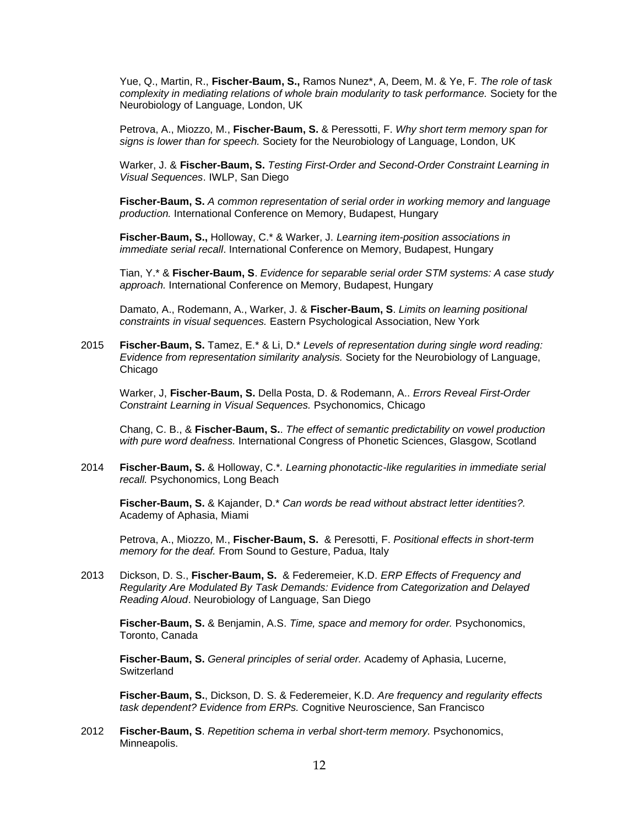Yue, Q., Martin, R., **Fischer-Baum, S.,** Ramos Nunez\*, A, Deem, M. & Ye, F. *The role of task complexity in mediating relations of whole brain modularity to task performance.* Society for the Neurobiology of Language, London, UK

Petrova, A., Miozzo, M., **Fischer-Baum, S.** & Peressotti, F. *Why short term memory span for signs is lower than for speech.* Society for the Neurobiology of Language, London, UK

Warker, J. & **Fischer-Baum, S.** *Testing First-Order and Second-Order Constraint Learning in Visual Sequences*. IWLP, San Diego

**Fischer-Baum, S.** *A common representation of serial order in working memory and language production.* International Conference on Memory, Budapest, Hungary

**Fischer-Baum, S.,** Holloway, C.\* & Warker, J. *Learning item-position associations in immediate serial recall*. International Conference on Memory, Budapest, Hungary

Tian, Y.\* & **Fischer-Baum, S**. *Evidence for separable serial order STM systems: A case study approach.* International Conference on Memory, Budapest, Hungary

Damato, A., Rodemann, A., Warker, J. & **Fischer-Baum, S**. *Limits on learning positional constraints in visual sequences.* Eastern Psychological Association, New York

2015 **Fischer-Baum, S.** Tamez, E.\* & Li, D.\* *Levels of representation during single word reading: Evidence from representation similarity analysis.* Society for the Neurobiology of Language, Chicago

Warker, J, **Fischer-Baum, S.** Della Posta, D. & Rodemann, A.. *Errors Reveal First-Order Constraint Learning in Visual Sequences.* Psychonomics, Chicago

Chang, C. B., & **Fischer-Baum, S.**. *The effect of semantic predictability on vowel production with pure word deafness.* International Congress of Phonetic Sciences, Glasgow, Scotland

2014 **Fischer-Baum, S.** & Holloway, C.\**. Learning phonotactic-like regularities in immediate serial recall.* Psychonomics, Long Beach

**Fischer-Baum, S.** & Kajander, D.\* *Can words be read without abstract letter identities?.*  Academy of Aphasia, Miami

Petrova, A., Miozzo, M., **Fischer-Baum, S.** & Peresotti, F. *Positional effects in short-term memory for the deaf.* From Sound to Gesture, Padua, Italy

2013 Dickson, D. S., **Fischer-Baum, S.** & Federemeier, K.D. *ERP Effects of Frequency and Regularity Are Modulated By Task Demands: Evidence from Categorization and Delayed Reading Aloud*. Neurobiology of Language, San Diego

**Fischer-Baum, S.** & Benjamin, A.S. *Time, space and memory for order.* Psychonomics, Toronto, Canada

**Fischer-Baum, S.** *General principles of serial order.* Academy of Aphasia, Lucerne, Switzerland

**Fischer-Baum, S.**, Dickson, D. S. & Federemeier, K.D. *Are frequency and regularity effects task dependent? Evidence from ERPs.* Cognitive Neuroscience, San Francisco

2012 **Fischer-Baum, S**. *Repetition schema in verbal short-term memory.* Psychonomics, Minneapolis.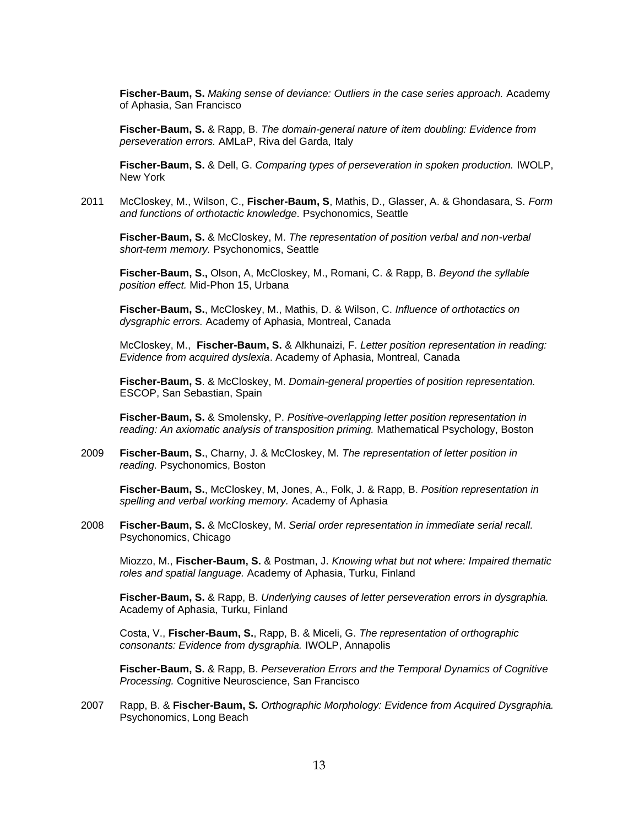**Fischer-Baum, S.** *Making sense of deviance: Outliers in the case series approach.* Academy of Aphasia, San Francisco

**Fischer-Baum, S.** & Rapp, B. *The domain-general nature of item doubling: Evidence from perseveration errors.* AMLaP, Riva del Garda, Italy

**Fischer-Baum, S.** & Dell, G. *Comparing types of perseveration in spoken production.* IWOLP, New York

2011 McCloskey, M., Wilson, C., **Fischer-Baum, S**, Mathis, D., Glasser, A. & Ghondasara, S. *Form and functions of orthotactic knowledge.* Psychonomics, Seattle

**Fischer-Baum, S.** & McCloskey, M. *The representation of position verbal and non-verbal short-term memory.* Psychonomics, Seattle

**Fischer-Baum, S.,** Olson, A, McCloskey, M., Romani, C. & Rapp, B. *Beyond the syllable position effect.* Mid-Phon 15, Urbana

**Fischer-Baum, S.**, McCloskey, M., Mathis, D. & Wilson, C. *Influence of orthotactics on dysgraphic errors.* Academy of Aphasia, Montreal, Canada

McCloskey, M., **Fischer-Baum, S.** & Alkhunaizi, F. *Letter position representation in reading: Evidence from acquired dyslexia*. Academy of Aphasia, Montreal, Canada

**Fischer-Baum, S**. & McCloskey, M. *Domain-general properties of position representation.* ESCOP, San Sebastian, Spain

**Fischer-Baum, S.** & Smolensky, P. *Positive-overlapping letter position representation in reading: An axiomatic analysis of transposition priming.* Mathematical Psychology, Boston

2009 **Fischer-Baum, S.**, Charny, J. & McCloskey, M. *The representation of letter position in reading.* Psychonomics, Boston

**Fischer-Baum, S.**, McCloskey, M, Jones, A., Folk, J. & Rapp, B. *Position representation in spelling and verbal working memory.* Academy of Aphasia

2008 **Fischer-Baum, S.** & McCloskey, M. *Serial order representation in immediate serial recall.*  Psychonomics, Chicago

Miozzo, M., **Fischer-Baum, S.** & Postman, J. *Knowing what but not where: Impaired thematic roles and spatial language.* Academy of Aphasia, Turku, Finland

**Fischer-Baum, S.** & Rapp, B. *Underlying causes of letter perseveration errors in dysgraphia.*  Academy of Aphasia, Turku, Finland

Costa, V., **Fischer-Baum, S.**, Rapp, B. & Miceli, G. *The representation of orthographic consonants: Evidence from dysgraphia.* IWOLP, Annapolis

**Fischer-Baum, S.** & Rapp, B. *Perseveration Errors and the Temporal Dynamics of Cognitive Processing.* Cognitive Neuroscience, San Francisco

2007 Rapp, B. & **Fischer-Baum, S***. Orthographic Morphology: Evidence from Acquired Dysgraphia.* Psychonomics, Long Beach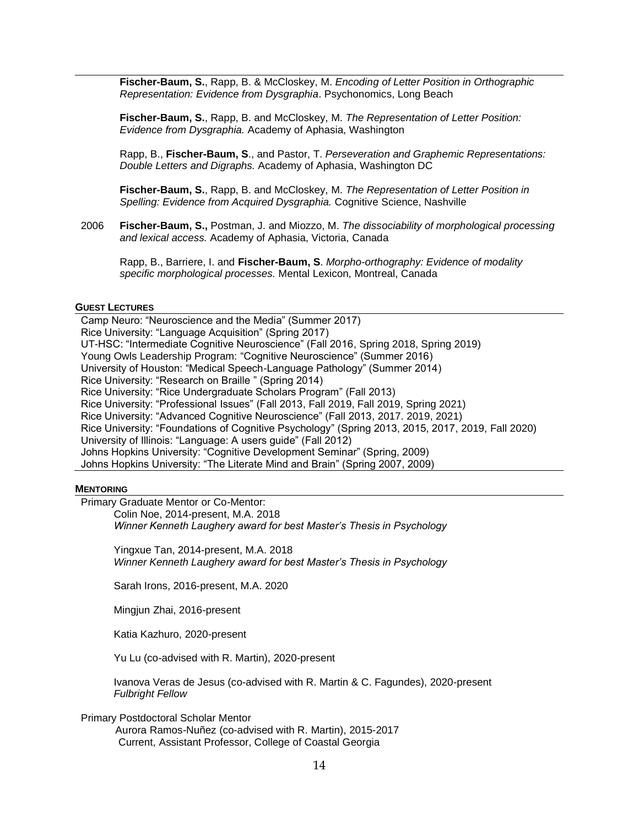**Fischer-Baum, S.**, Rapp, B. & McCloskey, M. *Encoding of Letter Position in Orthographic Representation: Evidence from Dysgraphia*. Psychonomics, Long Beach

**Fischer-Baum, S.**, Rapp, B. and McCloskey, M. *The Representation of Letter Position: Evidence from Dysgraphia.* Academy of Aphasia, Washington

Rapp, B., **Fischer-Baum, S**., and Pastor, T. *Perseveration and Graphemic Representations: Double Letters and Digraphs.* Academy of Aphasia, Washington DC

**Fischer-Baum, S.**, Rapp, B. and McCloskey, M. *The Representation of Letter Position in Spelling: Evidence from Acquired Dysgraphia.* Cognitive Science, Nashville

2006 **Fischer-Baum, S.,** Postman, J. and Miozzo, M. *The dissociability of morphological processing and lexical access.* Academy of Aphasia, Victoria, Canada

Rapp, B., Barriere, I. and **Fischer-Baum, S**. *Morpho-orthography: Evidence of modality specific morphological processes.* Mental Lexicon, Montreal, Canada

#### **GUEST LECTURES**

Camp Neuro: "Neuroscience and the Media" (Summer 2017) Rice University: "Language Acquisition" (Spring 2017) UT-HSC: "Intermediate Cognitive Neuroscience" (Fall 2016, Spring 2018, Spring 2019) Young Owls Leadership Program: "Cognitive Neuroscience" (Summer 2016) University of Houston: "Medical Speech-Language Pathology" (Summer 2014) Rice University: "Research on Braille " (Spring 2014) Rice University: "Rice Undergraduate Scholars Program" (Fall 2013) Rice University: "Professional Issues" (Fall 2013, Fall 2019, Fall 2019, Spring 2021) Rice University: "Advanced Cognitive Neuroscience" (Fall 2013, 2017. 2019, 2021) Rice University: "Foundations of Cognitive Psychology" (Spring 2013, 2015, 2017, 2019, Fall 2020) University of Illinois: "Language: A users guide" (Fall 2012) Johns Hopkins University: "Cognitive Development Seminar" (Spring, 2009) Johns Hopkins University: "The Literate Mind and Brain" (Spring 2007, 2009)

#### **MENTORING**

Primary Graduate Mentor or Co-Mentor:

Colin Noe, 2014-present, M.A. 2018 *Winner Kenneth Laughery award for best Master's Thesis in Psychology*

Yingxue Tan, 2014-present, M.A. 2018 *Winner Kenneth Laughery award for best Master's Thesis in Psychology*

Sarah Irons, 2016-present, M.A. 2020

Mingjun Zhai, 2016-present

Katia Kazhuro, 2020-present

Yu Lu (co-advised with R. Martin), 2020-present

Ivanova Veras de Jesus (co-advised with R. Martin & C. Fagundes), 2020-present *Fulbright Fellow*

Primary Postdoctoral Scholar Mentor

 Aurora Ramos-Nuñez (co-advised with R. Martin), 2015-2017 Current, Assistant Professor, College of Coastal Georgia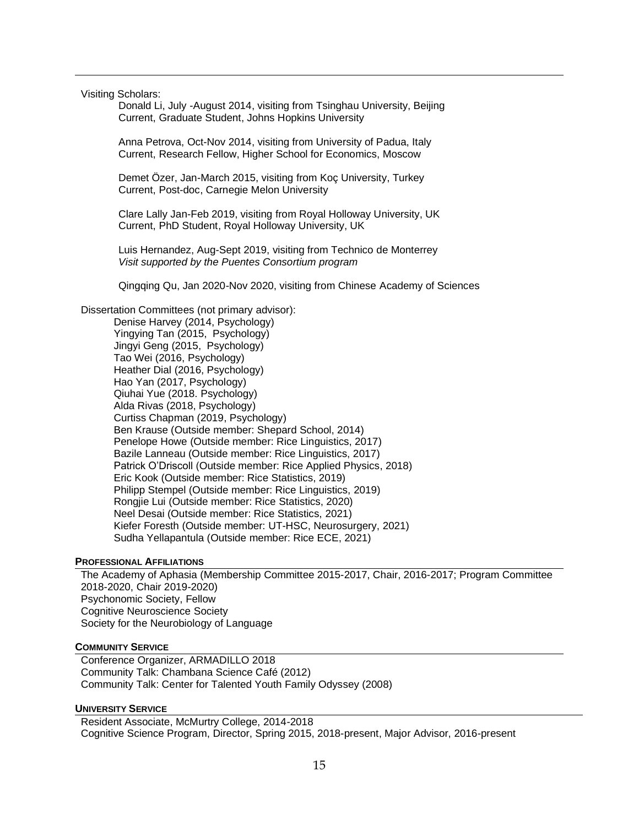Visiting Scholars:

Donald Li, July -August 2014, visiting from Tsinghau University, Beijing Current, Graduate Student, Johns Hopkins University

Anna Petrova, Oct-Nov 2014, visiting from University of Padua, Italy Current, Research Fellow, Higher School for Economics, Moscow

Demet Özer, Jan-March 2015, visiting from Koç University, Turkey Current, Post-doc, Carnegie Melon University

Clare Lally Jan-Feb 2019, visiting from Royal Holloway University, UK Current, PhD Student, Royal Holloway University, UK

Luis Hernandez, Aug-Sept 2019, visiting from Technico de Monterrey *Visit supported by the Puentes Consortium program*

Qingqing Qu, Jan 2020-Nov 2020, visiting from Chinese Academy of Sciences

Dissertation Committees (not primary advisor):

Denise Harvey (2014, Psychology) Yingying Tan (2015, Psychology) Jingyi Geng (2015, Psychology) Tao Wei (2016, Psychology) Heather Dial (2016, Psychology) Hao Yan (2017, Psychology) Qiuhai Yue (2018. Psychology) Alda Rivas (2018, Psychology) Curtiss Chapman (2019, Psychology) Ben Krause (Outside member: Shepard School, 2014) Penelope Howe (Outside member: Rice Linguistics, 2017) Bazile Lanneau (Outside member: Rice Linguistics, 2017) Patrick O'Driscoll (Outside member: Rice Applied Physics, 2018) Eric Kook (Outside member: Rice Statistics, 2019) Philipp Stempel (Outside member: Rice Linguistics, 2019) Rongjie Lui (Outside member: Rice Statistics, 2020) Neel Desai (Outside member: Rice Statistics, 2021) Kiefer Foresth (Outside member: UT-HSC, Neurosurgery, 2021) Sudha Yellapantula (Outside member: Rice ECE, 2021)

## **PROFESSIONAL AFFILIATIONS**

The Academy of Aphasia (Membership Committee 2015-2017, Chair, 2016-2017; Program Committee 2018-2020, Chair 2019-2020) Psychonomic Society, Fellow Cognitive Neuroscience Society Society for the Neurobiology of Language

#### **COMMUNITY SERVICE**

Conference Organizer, ARMADILLO 2018 Community Talk: Chambana Science Café (2012) Community Talk: Center for Talented Youth Family Odyssey (2008)

#### **UNIVERSITY SERVICE**

Resident Associate, McMurtry College, 2014-2018 Cognitive Science Program, Director, Spring 2015, 2018-present, Major Advisor, 2016-present